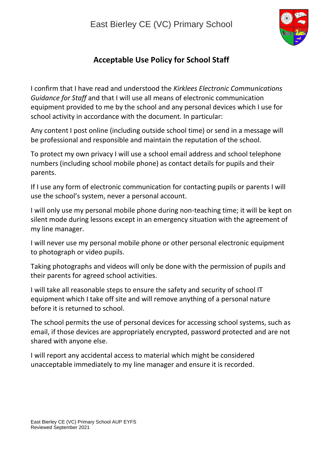

## **Acceptable Use Policy for School Staff**

I confirm that I have read and understood the *Kirklees Electronic Communications Guidance for Staff* and that I will use all means of electronic communication equipment provided to me by the school and any personal devices which I use for school activity in accordance with the document. In particular:

Any content I post online (including outside school time) or send in a message will be professional and responsible and maintain the reputation of the school.

To protect my own privacy I will use a school email address and school telephone numbers (including school mobile phone) as contact details for pupils and their parents.

If I use any form of electronic communication for contacting pupils or parents I will use the school's system, never a personal account.

I will only use my personal mobile phone during non-teaching time; it will be kept on silent mode during lessons except in an emergency situation with the agreement of my line manager.

I will never use my personal mobile phone or other personal electronic equipment to photograph or video pupils.

Taking photographs and videos will only be done with the permission of pupils and their parents for agreed school activities.

I will take all reasonable steps to ensure the safety and security of school IT equipment which I take off site and will remove anything of a personal nature before it is returned to school.

The school permits the use of personal devices for accessing school systems, such as email, if those devices are appropriately encrypted, password protected and are not shared with anyone else.

I will report any accidental access to material which might be considered unacceptable immediately to my line manager and ensure it is recorded.